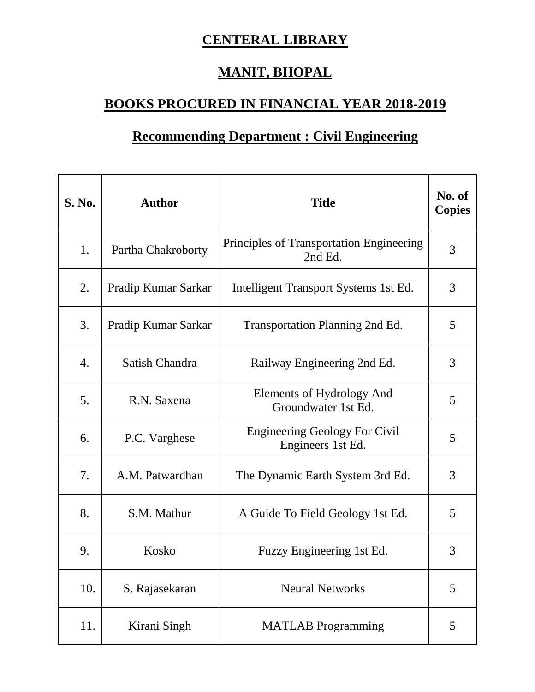## **CENTERAL LIBRARY**

## **MANIT, BHOPAL**

## **BOOKS PROCURED IN FINANCIAL YEAR 2018-2019**

## **Recommending Department : Civil Engineering**

| <b>S. No.</b> | <b>Author</b>       | <b>Title</b>                                              | No. of<br><b>Copies</b> |
|---------------|---------------------|-----------------------------------------------------------|-------------------------|
| 1.            | Partha Chakroborty  | Principles of Transportation Engineering<br>2nd Ed.       | 3                       |
| 2.            | Pradip Kumar Sarkar | Intelligent Transport Systems 1st Ed.                     | 3                       |
| 3.            | Pradip Kumar Sarkar | <b>Transportation Planning 2nd Ed.</b>                    | 5                       |
| 4.            | Satish Chandra      | Railway Engineering 2nd Ed.                               | 3                       |
| 5.            | R.N. Saxena         | Elements of Hydrology And<br>Groundwater 1st Ed.          | 5                       |
| 6.            | P.C. Varghese       | <b>Engineering Geology For Civil</b><br>Engineers 1st Ed. | 5                       |
| 7.            | A.M. Patwardhan     | The Dynamic Earth System 3rd Ed.                          | 3                       |
| 8.            | S.M. Mathur         | A Guide To Field Geology 1st Ed.                          | 5                       |
| 9.            | Kosko               | Fuzzy Engineering 1st Ed.                                 | 3                       |
| 10.           | S. Rajasekaran      | <b>Neural Networks</b>                                    | 5                       |
| 11.           | Kirani Singh        | <b>MATLAB</b> Programming                                 | 5                       |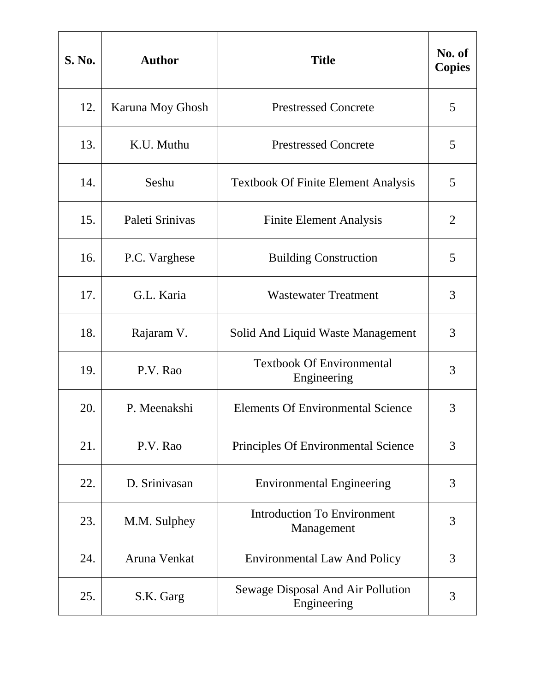| <b>S. No.</b> | <b>Author</b>    | <b>Title</b>                                     | No. of<br><b>Copies</b> |
|---------------|------------------|--------------------------------------------------|-------------------------|
| 12.           | Karuna Moy Ghosh | <b>Prestressed Concrete</b>                      | 5                       |
| 13.           | K.U. Muthu       | <b>Prestressed Concrete</b>                      | 5                       |
| 14.           | Seshu            | <b>Textbook Of Finite Element Analysis</b>       | 5                       |
| 15.           | Paleti Srinivas  | <b>Finite Element Analysis</b>                   | 2                       |
| 16.           | P.C. Varghese    | <b>Building Construction</b>                     | 5                       |
| 17.           | G.L. Karia       | <b>Wastewater Treatment</b>                      | 3                       |
| 18.           | Rajaram V.       | Solid And Liquid Waste Management                | 3                       |
| 19.           | P.V. Rao         | <b>Textbook Of Environmental</b><br>Engineering  | 3                       |
| 20.           | P. Meenakshi     | <b>Elements Of Environmental Science</b>         | 3                       |
| 21.           | P.V. Rao         | Principles Of Environmental Science              | 3                       |
| 22.           | D. Srinivasan    | <b>Environmental Engineering</b>                 | 3                       |
| 23.           | M.M. Sulphey     | <b>Introduction To Environment</b><br>Management | 3                       |
| 24.           | Aruna Venkat     | <b>Environmental Law And Policy</b>              | 3                       |
| 25.           | S.K. Garg        | Sewage Disposal And Air Pollution<br>Engineering | 3                       |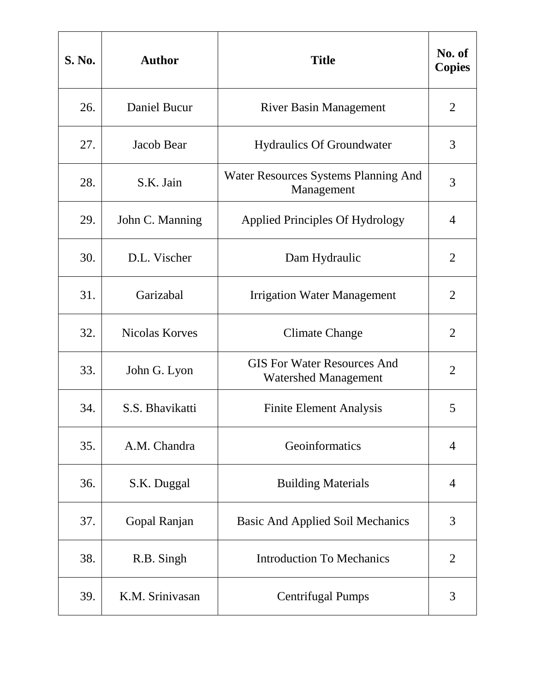| <b>S. No.</b> | <b>Author</b>         | <b>Title</b>                                                      | No. of<br><b>Copies</b> |
|---------------|-----------------------|-------------------------------------------------------------------|-------------------------|
| 26.           | <b>Daniel Bucur</b>   | <b>River Basin Management</b>                                     | $\overline{2}$          |
| 27.           | Jacob Bear            | <b>Hydraulics Of Groundwater</b>                                  | 3                       |
| 28.           | S.K. Jain             | Water Resources Systems Planning And<br>Management                | 3                       |
| 29.           | John C. Manning       | <b>Applied Principles Of Hydrology</b>                            | 4                       |
| 30.           | D.L. Vischer          | Dam Hydraulic                                                     | $\overline{2}$          |
| 31.           | Garizabal             | <b>Irrigation Water Management</b>                                | $\overline{2}$          |
| 32.           | <b>Nicolas Korves</b> | <b>Climate Change</b>                                             | $\overline{2}$          |
| 33.           | John G. Lyon          | <b>GIS For Water Resources And</b><br><b>Watershed Management</b> | $\overline{2}$          |
| 34.           | S.S. Bhavikatti       | <b>Finite Element Analysis</b>                                    | 5                       |
| 35.           | A.M. Chandra          | Geoinformatics                                                    | $\overline{4}$          |
| 36.           | S.K. Duggal           | <b>Building Materials</b>                                         | $\overline{4}$          |
| 37.           | Gopal Ranjan          | <b>Basic And Applied Soil Mechanics</b>                           | 3                       |
| 38.           | R.B. Singh            | <b>Introduction To Mechanics</b>                                  | $\overline{2}$          |
| 39.           | K.M. Srinivasan       | <b>Centrifugal Pumps</b>                                          | 3                       |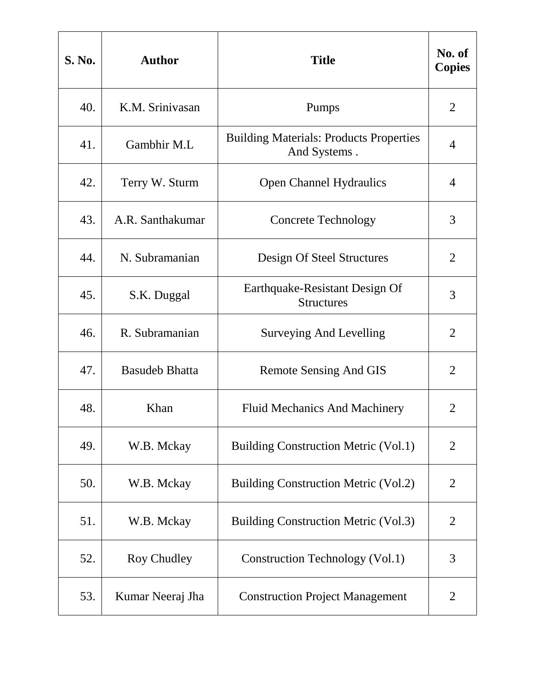| <b>S. No.</b> | <b>Author</b>         | <b>Title</b>                                                   | No. of<br><b>Copies</b> |
|---------------|-----------------------|----------------------------------------------------------------|-------------------------|
| 40.           | K.M. Srinivasan       | Pumps                                                          | $\overline{2}$          |
| 41.           | Gambhir M.L           | <b>Building Materials: Products Properties</b><br>And Systems. | 4                       |
| 42.           | Terry W. Sturm        | <b>Open Channel Hydraulics</b>                                 | 4                       |
| 43.           | A.R. Santhakumar      | <b>Concrete Technology</b>                                     | 3                       |
| 44.           | N. Subramanian        | Design Of Steel Structures                                     | $\overline{2}$          |
| 45.           | S.K. Duggal           | Earthquake-Resistant Design Of<br><b>Structures</b>            | 3                       |
| 46.           | R. Subramanian        | Surveying And Levelling                                        | $\overline{2}$          |
| 47.           | <b>Basudeb Bhatta</b> | Remote Sensing And GIS                                         | $\overline{2}$          |
| 48.           | Khan                  | <b>Fluid Mechanics And Machinery</b>                           | $\overline{2}$          |
| 49.           | W.B. Mckay            | <b>Building Construction Metric (Vol.1)</b>                    | $\overline{2}$          |
| 50.           | W.B. Mckay            | <b>Building Construction Metric (Vol.2)</b>                    | $\overline{2}$          |
| 51.           | W.B. Mckay            | <b>Building Construction Metric (Vol.3)</b>                    | $\overline{2}$          |
| 52.           | Roy Chudley           | Construction Technology (Vol.1)                                | 3                       |
| 53.           | Kumar Neeraj Jha      | <b>Construction Project Management</b>                         | $\overline{2}$          |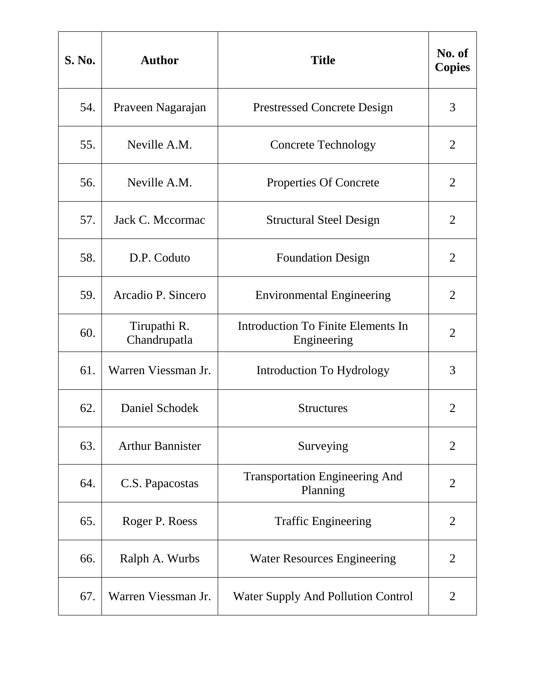| <b>S. No.</b> | <b>Author</b>                | <b>Title</b>                                      | No. of<br><b>Copies</b> |
|---------------|------------------------------|---------------------------------------------------|-------------------------|
| 54.           | Praveen Nagarajan            | <b>Prestressed Concrete Design</b>                | 3                       |
| 55.           | Neville A.M.                 | <b>Concrete Technology</b>                        | 2                       |
| 56.           | Neville A.M.                 | Properties Of Concrete                            | $\overline{2}$          |
| 57.           | Jack C. Mccormac             | <b>Structural Steel Design</b>                    | $\overline{2}$          |
| 58.           | D.P. Coduto                  | <b>Foundation Design</b>                          | $\overline{2}$          |
| 59.           | Arcadio P. Sincero           | <b>Environmental Engineering</b>                  | 2                       |
| 60.           | Tirupathi R.<br>Chandrupatla | Introduction To Finite Elements In<br>Engineering | $\overline{2}$          |
| 61.           | Warren Viessman Jr.          | Introduction To Hydrology                         | 3                       |
| 62.           | Daniel Schodek               | <b>Structures</b>                                 | $\overline{2}$          |
| 63.           | <b>Arthur Bannister</b>      | Surveying                                         | $\overline{2}$          |
| 64.           | C.S. Papacostas              | <b>Transportation Engineering And</b><br>Planning | $\overline{2}$          |
| 65.           | Roger P. Roess               | <b>Traffic Engineering</b>                        | $\overline{2}$          |
| 66.           | Ralph A. Wurbs               | <b>Water Resources Engineering</b>                | $\overline{2}$          |
| 67.           | Warren Viessman Jr.          | <b>Water Supply And Pollution Control</b>         | 2                       |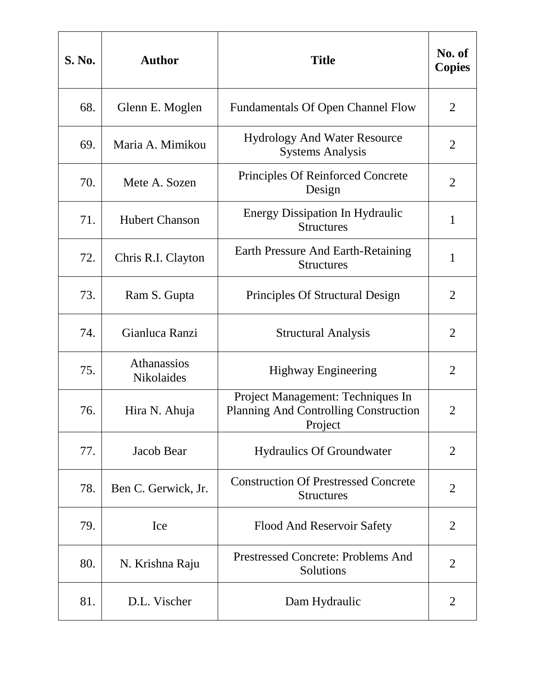| <b>S. No.</b> | <b>Author</b>             | <b>Title</b>                                                                                 | No. of<br><b>Copies</b> |
|---------------|---------------------------|----------------------------------------------------------------------------------------------|-------------------------|
| 68.           | Glenn E. Moglen           | <b>Fundamentals Of Open Channel Flow</b>                                                     | $\overline{2}$          |
| 69.           | Maria A. Mimikou          | <b>Hydrology And Water Resource</b><br><b>Systems Analysis</b>                               | $\overline{2}$          |
| 70.           | Mete A. Sozen             | <b>Principles Of Reinforced Concrete</b><br>Design                                           | $\overline{2}$          |
| 71.           | <b>Hubert Chanson</b>     | <b>Energy Dissipation In Hydraulic</b><br><b>Structures</b>                                  | $\mathbf{1}$            |
| 72.           | Chris R.I. Clayton        | Earth Pressure And Earth-Retaining<br><b>Structures</b>                                      | $\mathbf{1}$            |
| 73.           | Ram S. Gupta              | Principles Of Structural Design                                                              | $\overline{2}$          |
| 74.           | Gianluca Ranzi            | <b>Structural Analysis</b>                                                                   | $\overline{2}$          |
| 75.           | Athanassios<br>Nikolaides | <b>Highway Engineering</b>                                                                   | $\overline{2}$          |
| 76.           | Hira N. Ahuja             | Project Management: Techniques In<br><b>Planning And Controlling Construction</b><br>Project | $\overline{2}$          |
| 77.           | Jacob Bear                | <b>Hydraulics Of Groundwater</b>                                                             | $\overline{2}$          |
| 78.           | Ben C. Gerwick, Jr.       | <b>Construction Of Prestressed Concrete</b><br><b>Structures</b>                             | $\overline{2}$          |
| 79.           | Ice                       | Flood And Reservoir Safety                                                                   | $\overline{2}$          |
| 80.           | N. Krishna Raju           | <b>Prestressed Concrete: Problems And</b><br>Solutions                                       | $\overline{2}$          |
| 81.           | D.L. Vischer              | Dam Hydraulic                                                                                | 2                       |